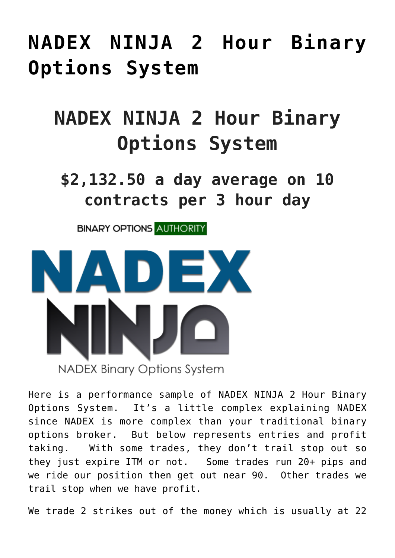# **[NADEX NINJA 2 Hour Binary](https://binaryoptionsauthority.com/nadex-ninja-2-hour-binary-options-system/) [Options System](https://binaryoptionsauthority.com/nadex-ninja-2-hour-binary-options-system/)**

# **NADEX NINJA 2 Hour Binary Options System**

**\$2,132.50 a day average on 10 contracts per 3 hour day**

**BINARY OPTIONS AUTHORITY** 



Here is a performance sample of NADEX NINJA 2 Hour Binary Options System. It's a little complex explaining NADEX since NADEX is more complex than your traditional binary options broker. But below represents entries and profit taking. With some trades, they don't trail stop out so they just expire ITM or not. Some trades run 20+ pips and we ride our position then get out near 90. Other trades we trail stop when we have profit.

We trade 2 strikes out of the money which is usually at 22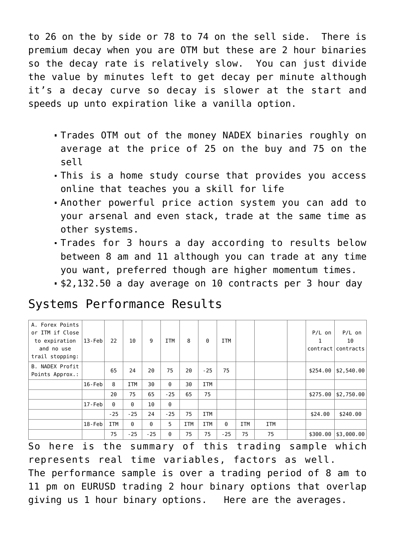to 26 on the by side or 78 to 74 on the sell side. There is premium decay when you are OTM but these are 2 hour binaries so the decay rate is relatively slow. You can just divide the value by minutes left to get decay per minute although it's a decay curve so decay is slower at the start and speeds up unto expiration like a vanilla option.

- Trades OTM out of the money NADEX binaries roughly on average at the price of 25 on the buy and 75 on the sell
- This is a home study course that provides you access online that teaches you a skill for life
- Another powerful price action system you can add to your arsenal and even stack, trade at the same time as other systems.
- Trades for 3 hours a day according to results below between 8 am and 11 although you can trade at any time you want, preferred though are higher momentum times.
- \$2,132.50 a day average on 10 contracts per 3 hour day

| A. Forex Points<br>or ITM if Close<br>to expiration<br>and no use<br>trail stopping: | $13$ -Feb  | 22         | 10         | 9     | ITM      | 8          | 0          | <b>ITM</b> |            |            | $P/L$ on<br>1<br>contract | $P/L$ on<br>10<br>contracts |
|--------------------------------------------------------------------------------------|------------|------------|------------|-------|----------|------------|------------|------------|------------|------------|---------------------------|-----------------------------|
| <b>B. NADEX Profit</b><br>Points Approx.:                                            |            | 65         | 24         | 20    | 75       | 20         | $-25$      | 75         |            |            | \$254.00                  | \$2,540.00                  |
|                                                                                      | $16$ -Feb  | 8          | <b>ITM</b> | 30    | $\Theta$ | 30         | <b>ITM</b> |            |            |            |                           |                             |
|                                                                                      |            | 20         | 75         | 65    | $-25$    | 65         | 75         |            |            |            | \$275.00                  | \$2,750.00                  |
|                                                                                      | $17 - Feb$ | 0          | 0          | 10    | $\Theta$ |            |            |            |            |            |                           |                             |
|                                                                                      |            | $-25$      | $-25$      | 24    | $-25$    | 75         | <b>ITM</b> |            |            |            | \$24.00                   | \$240.00                    |
|                                                                                      | $18$ -Feb  | <b>ITM</b> | 0          | 0     | 5        | <b>ITM</b> | <b>ITM</b> | $\Theta$   | <b>ITM</b> | <b>ITM</b> |                           |                             |
|                                                                                      |            | 75         | $-25$      | $-25$ | 0        | 75         | 75         | $-25$      | 75         | 75         | \$300.00                  | $ $ \$3,000.00 $ $          |

#### Systems Performance Results

So here is the summary of this trading sample which represents real time variables, factors as well. The performance sample is over a trading period of 8 am to 11 pm on EURUSD trading 2 hour binary options that overlap giving us 1 hour binary options. Here are the averages.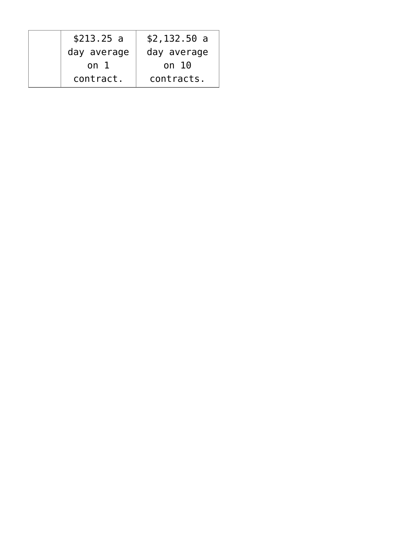| \$213.25 a  | \$2,132.50 a |
|-------------|--------------|
| day average | day average  |
| on 1        | on $10$      |
| contract.   | contracts.   |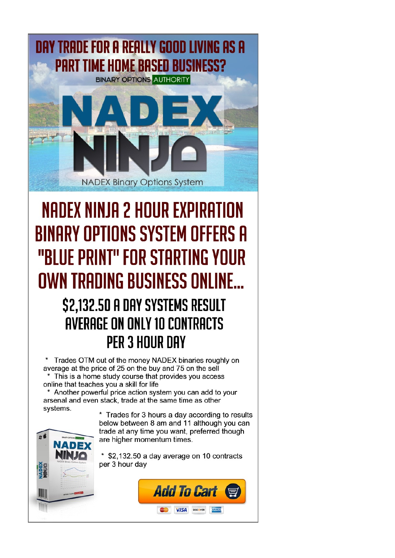

# NADEX NINJA 2 HOUR EXPIRATION **BINARY OPTIONS SYSTEM OFFERS A** "BLUE PRINT" FOR STARTING YOUR OWN TRADING BUSINESS ONLINE...

### \$2,132.50 A DAY SYSTEMS RESULT AVERAGE ON ONLY 10 CONTRACTS **PER 3 HOUR DAY**

Trades OTM out of the money NADEX binaries roughly on average at the price of 25 on the buy and 75 on the sell \* This is a home study course that provides you access online that teaches you a skill for life

\* Another powerful price action system you can add to your arsenal and even stack, trade at the same time as other systems.

 $\boldsymbol{z}$ 

\* Trades for 3 hours a day according to results below between 8 am and 11 although you can trade at any time you want, preferred though are higher momentum times.

\* \$2,132.50 a day average on 10 contracts per 3 hour day